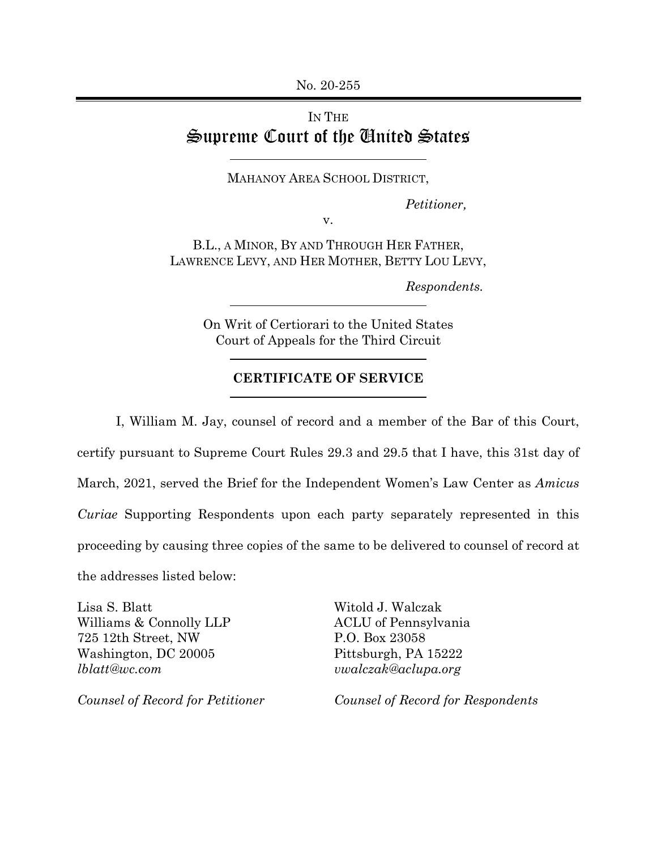## IN THE Supreme Court of the United States

MAHANOY AREA SCHOOL DISTRICT,

*Petitioner,*

v.

B.L., A MINOR, BY AND THROUGH HER FATHER, LAWRENCE LEVY, AND HER MOTHER, BETTY LOU LEVY,

 *Respondents.* 

On Writ of Certiorari to the United States Court of Appeals for the Third Circuit

## **CERTIFICATE OF SERVICE**

I, William M. Jay, counsel of record and a member of the Bar of this Court, certify pursuant to Supreme Court Rules 29.3 and 29.5 that I have, this 31st day of March, 2021, served the Brief for the Independent Women's Law Center as *Amicus Curiae* Supporting Respondents upon each party separately represented in this proceeding by causing three copies of the same to be delivered to counsel of record at the addresses listed below:

Lisa S. Blatt Williams & Connolly LLP 725 12th Street, NW Washington, DC 20005 *lblatt@wc.com* 

*Counsel of Record for Petitioner* 

Witold J. Walczak ACLU of Pennsylvania P.O. Box 23058 Pittsburgh, PA 15222 *vwalczak@aclupa.org* 

*Counsel of Record for Respondents*